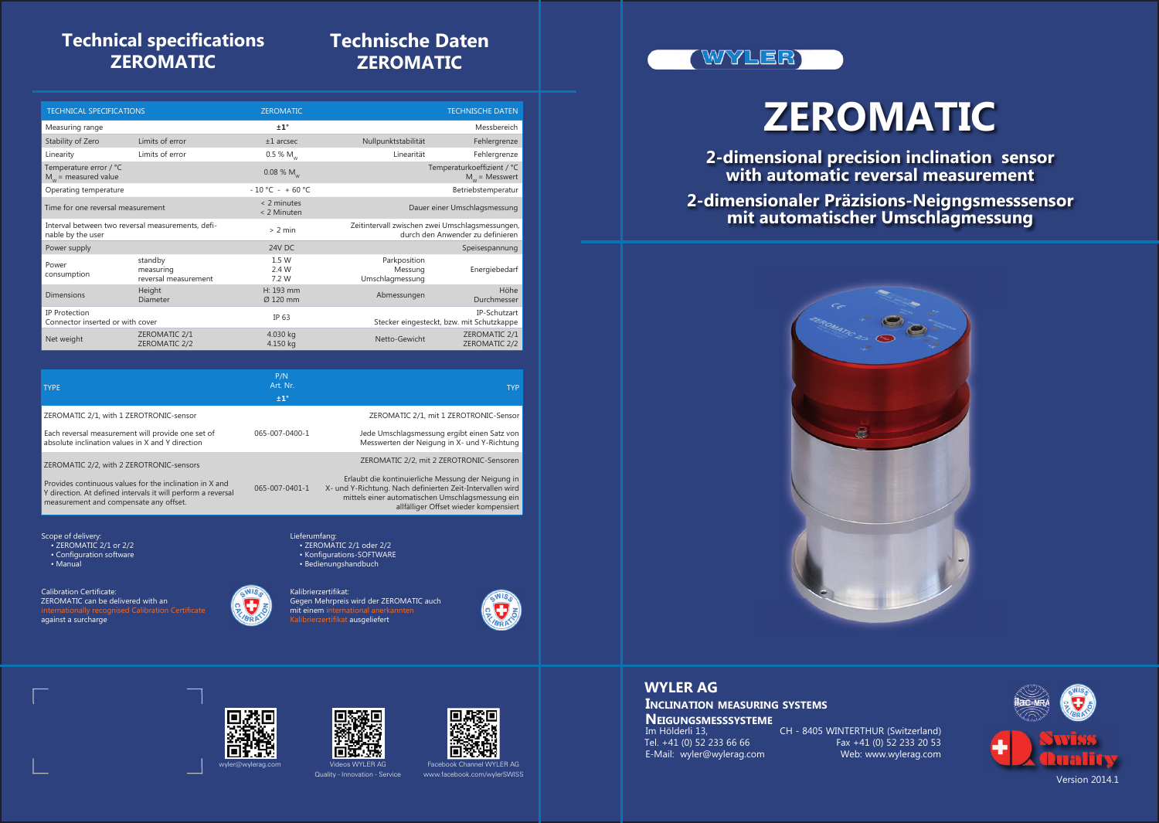# **ZEROMATIC**

**2-dimensional precision inclination sensor with automatic reversal measurement**



**2-dimensionaler Präzisions-Neigngsmesssensor mit automatischer Umschlagmessung**

Im Hölderli 13, CH - 8405 WINTERTHUR (Switzerland)<br>Tel. +41 (0) 52 233 66 66 Fax +41 (0) 52 233 20 53 E-Mail: wyler@wylerag.com **NEIGUNGSMESSSYSTEME**

**WYLER AG** 



## **WYLER AG**

**INCLINATION MEASURING SYSTEMS**

Quality - Innovation - Service



Facebook Channel WYLER AG

# WYLER)



# **Technical specifications ZEROMATIC**

# **Technische Daten ZEROMATIC**

| <b>TECHNICAL SPECIFICATIONS</b>                                        |                                              | <b>ZEROMATIC</b>             | <b>TECHNISCHE DATEN</b>                                                             |                                                |
|------------------------------------------------------------------------|----------------------------------------------|------------------------------|-------------------------------------------------------------------------------------|------------------------------------------------|
| Measuring range                                                        |                                              | ±1°                          |                                                                                     | Messbereich                                    |
| Stability of Zero                                                      | Limits of error                              | $±1$ arcsec                  | Nullpunktstabilität                                                                 | Fehlergrenze                                   |
| Linearity                                                              | Limits of error                              | 0.5 % $M_w$                  | Linearität                                                                          | Fehlergrenze                                   |
| Temperature error / °C<br>$M_w$ = measured value                       |                                              | $0.08\%$ M <sub>w</sub>      |                                                                                     | Temperaturkoeffizient / °C<br>$M_w$ = Messwert |
| Operating temperature                                                  |                                              | $-10$ °C - +60 °C            | Betriebstemperatur                                                                  |                                                |
| Time for one reversal measurement                                      |                                              | $< 2$ minutes<br>< 2 Minuten | Dauer einer Umschlagsmessung                                                        |                                                |
| Interval between two reversal measurements, defi-<br>nable by the user |                                              | $> 2$ min                    | Zeitintervall zwischen zwei Umschlagsmessungen,<br>durch den Anwender zu definieren |                                                |
| Power supply                                                           |                                              | 24V DC                       |                                                                                     | Speisespannung                                 |
| Power<br>consumption                                                   | standby<br>measuring<br>reversal measurement | 1.5 W<br>2.4 W<br>7.2 W      | Parkposition<br>Messung<br>Umschlagmessung                                          | Energiebedarf                                  |
| <b>Dimensions</b>                                                      | Height<br><b>Diameter</b>                    | H: 193 mm<br>Ø 120 mm        | Abmessungen                                                                         | Höhe<br>Durchmesser                            |
| IP Protection<br>Connector inserted or with cover                      |                                              | IP 63                        | Stecker eingesteckt, bzw. mit Schutzkappe                                           | IP-Schutzart                                   |
| Net weight                                                             | ZEROMATIC 2/1<br>ZEROMATIC 2/2               | 4.030 kg<br>4.150 kg         | Netto-Gewicht                                                                       | ZEROMATIC 2/1<br>ZEROMATIC 2/2                 |

| <b>TYPE</b>                                                                                                                                                                                                   | P/N<br>Art. Nr.<br>±1° | <b>TYP</b>                                                                                                                                                                                                                                               |
|---------------------------------------------------------------------------------------------------------------------------------------------------------------------------------------------------------------|------------------------|----------------------------------------------------------------------------------------------------------------------------------------------------------------------------------------------------------------------------------------------------------|
| ZEROMATIC 2/1, with 1 ZEROTRONIC-sensor                                                                                                                                                                       |                        | ZEROMATIC 2/1, mit 1 ZEROTRONIC-Sensor                                                                                                                                                                                                                   |
| Each reversal measurement will provide one set of<br>absolute inclination values in X and Y direction                                                                                                         | 065-007-0400-1         | Jede Umschlagsmessung ergibt einen Satz von<br>Messwerten der Neigung in X- und Y-Richtung                                                                                                                                                               |
| ZEROMATIC 2/2, with 2 ZEROTRONIC-sensors<br>Provides continuous values for the inclination in X and<br>Y direction. At defined intervals it will perform a reversal<br>measurement and compensate any offset. | 065-007-0401-1         | ZEROMATIC 2/2, mit 2 ZEROTRONIC-Sensoren<br>Erlaubt die kontinuierliche Messung der Neigung in<br>X- und Y-Richtung. Nach definierten Zeit-Intervallen wird<br>mittels einer automatischen Umschlagsmessung ein<br>allfälliger Offset wieder kompensiert |

Lieferumfang:

Scope of delivery:

• ZEROMATIC 2/1 oder 2/2 • Konfigurations-SOFTWARE • Bedienungshandbuch







Kalibrierzertifikat: Gegen Mehrpreis wird der ZEROMATIC auch mit einem international anerkannten Kalibrierzertifikat ausgeliefert

- ZEROMATIC 2/1 or 2/2
- Configuration software
- Manual

Calibration Certificate:

ZEROMATIC can be delivered with an against a surcharge